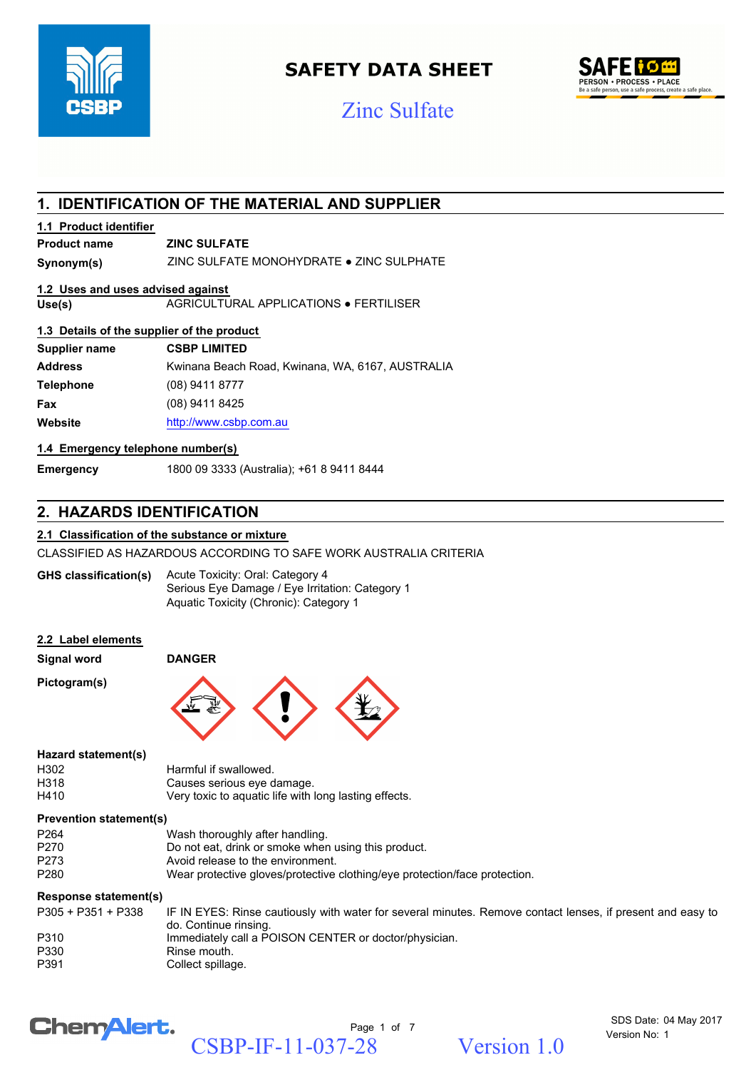

# **SAFETY DATA SHEET**





# **1. IDENTIFICATION OF THE MATERIAL AND SUPPLIER**

#### **1.1 Product identifier**

## **Product name ZINC SULFATE**

**Synonym(s)** ZINC SULFATE MONOHYDRATE ● ZINC SULPHATE

#### **1.2 Uses and uses advised against**

**Use(s)** AGRICULTURAL APPLICATIONS ● FERTILISER

#### **1.3 Details of the supplier of the product**

| <b>CSBP LIMITED</b>                              |
|--------------------------------------------------|
| Kwinana Beach Road, Kwinana, WA, 6167, AUSTRALIA |
| $(08)$ 9411 8777                                 |
| (08) 9411 8425                                   |
| http://www.csbp.com.au                           |
|                                                  |

#### **1.4 Emergency telephone number(s)**

**Emergency** 1800 09 3333 (Australia); +61 8 9411 8444

# **2. HAZARDS IDENTIFICATION**

#### **2.1 Classification of the substance or mixture**

CLASSIFIED AS HAZARDOUS ACCORDING TO SAFE WORK AUSTRALIA CRITERIA

Acute Toxicity: Oral: Category 4 Serious Eye Damage / Eye Irritation: Category 1 Aquatic Toxicity (Chronic): Category 1 **GHS classification(s)**

#### **2.2 Label elements**

**Signal word DANGER**

**Pictogram(s)**



#### **Hazard statement(s)**

| H302 | Harmful if swallowed.                                 |
|------|-------------------------------------------------------|
| H318 | Causes serious eye damage.                            |
| H410 | Very toxic to aquatic life with long lasting effects. |

#### **Prevention statement(s)**

| P <sub>264</sub> | Wash thoroughly after handling.                                            |
|------------------|----------------------------------------------------------------------------|
| P270             | Do not eat, drink or smoke when using this product.                        |
| P273             | Avoid release to the environment.                                          |
| P280             | Wear protective gloves/protective clothing/eye protection/face protection. |

#### **Response statement(s)**

| P305 + P351 + P338 | IF IN EYES: Rinse cautiously with water for several minutes. Remove contact lenses, if present and easy to<br>do. Continue rinsing. |
|--------------------|-------------------------------------------------------------------------------------------------------------------------------------|
| P310               | Immediately call a POISON CENTER or doctor/physician.                                                                               |
| P330               | Rinse mouth.                                                                                                                        |
| P391               | Collect spillage.                                                                                                                   |

# **ChemAlert.**

Page 1 of 7 CSBP-IF-11-037-28 Version 1.0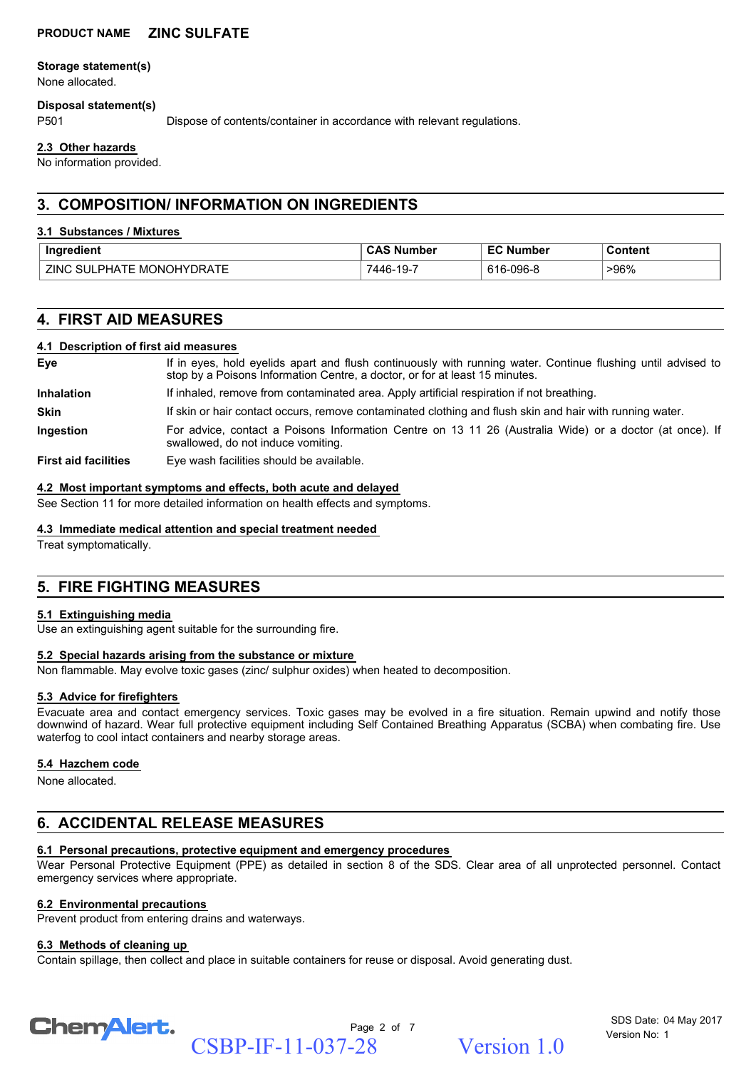#### **Storage statement(s)**

None allocated.

#### **Disposal statement(s)**

P501 Dispose of contents/container in accordance with relevant regulations.

#### **2.3 Other hazards**

No information provided.

# **3. COMPOSITION/ INFORMATION ON INGREDIENTS**

#### **3.1 Substances / Mixtures**

| Ingredient                                               | Number        | Number            | Content |
|----------------------------------------------------------|---------------|-------------------|---------|
| <b>ा</b> । ∨∨∪⊓∨∪<br>ZING<br>SU II<br>PHATF<br>MO<br>`'' | 7446<br>-19-7 | $-096 - 8$<br>61C | >96%    |

# **4. FIRST AID MEASURES**

#### **4.1 Description of first aid measures**

| Eye                         | If in eyes, hold eyelids apart and flush continuously with running water. Continue flushing until advised to<br>stop by a Poisons Information Centre, a doctor, or for at least 15 minutes. |  |  |
|-----------------------------|---------------------------------------------------------------------------------------------------------------------------------------------------------------------------------------------|--|--|
| <b>Inhalation</b>           | If inhaled, remove from contaminated area. Apply artificial respiration if not breathing.                                                                                                   |  |  |
| <b>Skin</b>                 | If skin or hair contact occurs, remove contaminated clothing and flush skin and hair with running water.                                                                                    |  |  |
| Ingestion                   | For advice, contact a Poisons Information Centre on 13 11 26 (Australia Wide) or a doctor (at once). If<br>swallowed, do not induce vomiting.                                               |  |  |
| <b>First aid facilities</b> | Eye wash facilities should be available.                                                                                                                                                    |  |  |

#### **4.2 Most important symptoms and effects, both acute and delayed**

See Section 11 for more detailed information on health effects and symptoms.

#### **4.3 Immediate medical attention and special treatment needed**

Treat symptomatically.

# **5. FIRE FIGHTING MEASURES**

#### **5.1 Extinguishing media**

Use an extinguishing agent suitable for the surrounding fire.

#### **5.2 Special hazards arising from the substance or mixture**

Non flammable. May evolve toxic gases (zinc/ sulphur oxides) when heated to decomposition.

#### **5.3 Advice for firefighters**

Evacuate area and contact emergency services. Toxic gases may be evolved in a fire situation. Remain upwind and notify those downwind of hazard. Wear full protective equipment including Self Contained Breathing Apparatus (SCBA) when combating fire. Use waterfog to cool intact containers and nearby storage areas.

#### **5.4 Hazchem code**

None allocated.

# **6. ACCIDENTAL RELEASE MEASURES**

#### **6.1 Personal precautions, protective equipment and emergency procedures**

Wear Personal Protective Equipment (PPE) as detailed in section 8 of the SDS. Clear area of all unprotected personnel. Contact emergency services where appropriate.

#### **6.2 Environmental precautions**

Prevent product from entering drains and waterways.

#### **6.3 Methods of cleaning up**

Contain spillage, then collect and place in suitable containers for reuse or disposal. Avoid generating dust.

# Chem<sup>Alert.</sup>

Page 2 of 7 CSBP-IF-11-037-28 Version 1.0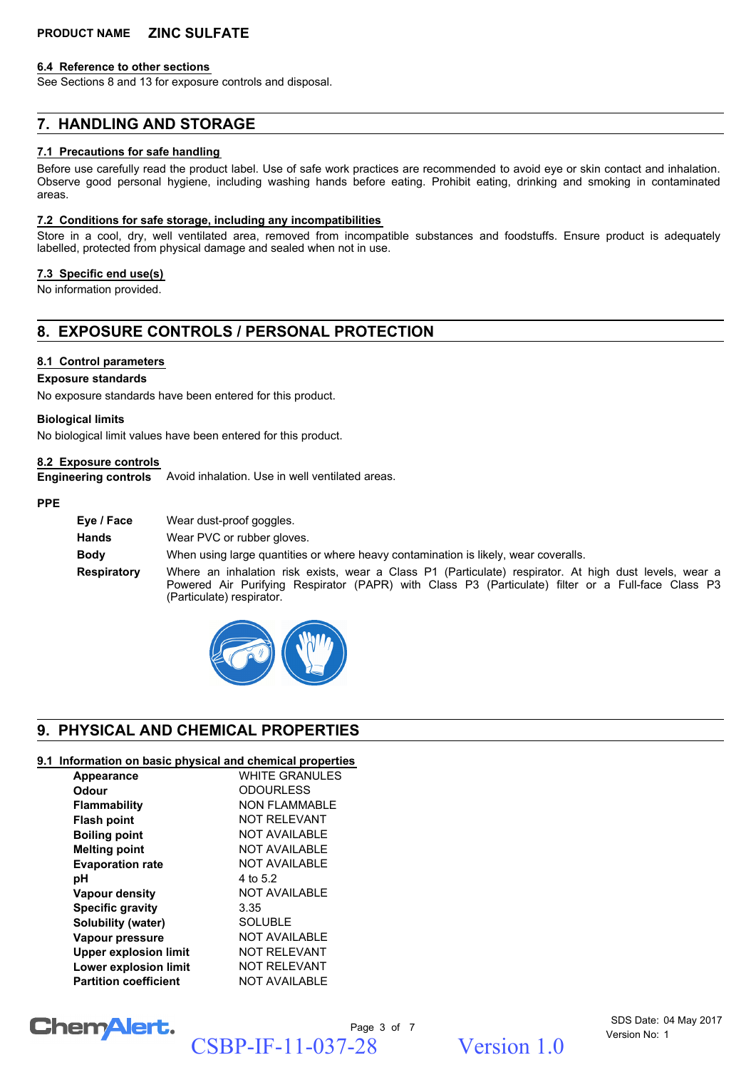#### **6.4 Reference to other sections**

See Sections 8 and 13 for exposure controls and disposal.

### **7. HANDLING AND STORAGE**

#### **7.1 Precautions for safe handling**

Before use carefully read the product label. Use of safe work practices are recommended to avoid eye or skin contact and inhalation. Observe good personal hygiene, including washing hands before eating. Prohibit eating, drinking and smoking in contaminated areas.

#### **7.2 Conditions for safe storage, including any incompatibilities**

Store in a cool, dry, well ventilated area, removed from incompatible substances and foodstuffs. Ensure product is adequately labelled, protected from physical damage and sealed when not in use.

#### **7.3 Specific end use(s)**

No information provided.

# **8. EXPOSURE CONTROLS / PERSONAL PROTECTION**

#### **8.1 Control parameters**

#### **Exposure standards**

No exposure standards have been entered for this product.

#### **Biological limits**

No biological limit values have been entered for this product.

#### **8.2 Exposure controls**

**Engineering controls** Avoid inhalation. Use in well ventilated areas.

#### **PPE**

| Eve / Face         | Wear dust-proof goggles.                                                                                                                                                                                                                  |
|--------------------|-------------------------------------------------------------------------------------------------------------------------------------------------------------------------------------------------------------------------------------------|
| <b>Hands</b>       | Wear PVC or rubber gloves.                                                                                                                                                                                                                |
| <b>Body</b>        | When using large quantities or where heavy contamination is likely, wear coveralls.                                                                                                                                                       |
| <b>Respiratory</b> | Where an inhalation risk exists, wear a Class P1 (Particulate) respirator. At high dust levels, wear a<br>Powered Air Purifying Respirator (PAPR) with Class P3 (Particulate) filter or a Full-face Class P3<br>(Particulate) respirator. |



# **9. PHYSICAL AND CHEMICAL PROPERTIES**

#### **9.1 Information on basic physical and chemical properties**

| Appearance                   | <b>WHITE GRANULES</b> |
|------------------------------|-----------------------|
| Odour                        | <b>ODOURLESS</b>      |
| <b>Flammability</b>          | NON FI AMMABI F       |
| <b>Flash point</b>           | NOT REI EVANT         |
| <b>Boiling point</b>         | NOT AVAILABLE         |
| <b>Melting point</b>         | <b>NOT AVAILABLE</b>  |
| <b>Evaporation rate</b>      | <b>NOT AVAILABLE</b>  |
| рH                           | 4 to 5.2              |
| <b>Vapour density</b>        | NOT AVAILABLE         |
| <b>Specific gravity</b>      | 3.35                  |
| Solubility (water)           | <b>SOLUBLE</b>        |
| Vapour pressure              | <b>NOT AVAILABLE</b>  |
| <b>Upper explosion limit</b> | NOT REI EVANT         |
| <b>Lower explosion limit</b> | <b>NOT RELEVANT</b>   |
| <b>Partition coefficient</b> | NOT AVAILABLE         |

# Chem Alert.

Page 3 of 7 CSBP-IF-11-037-28 Version 1.0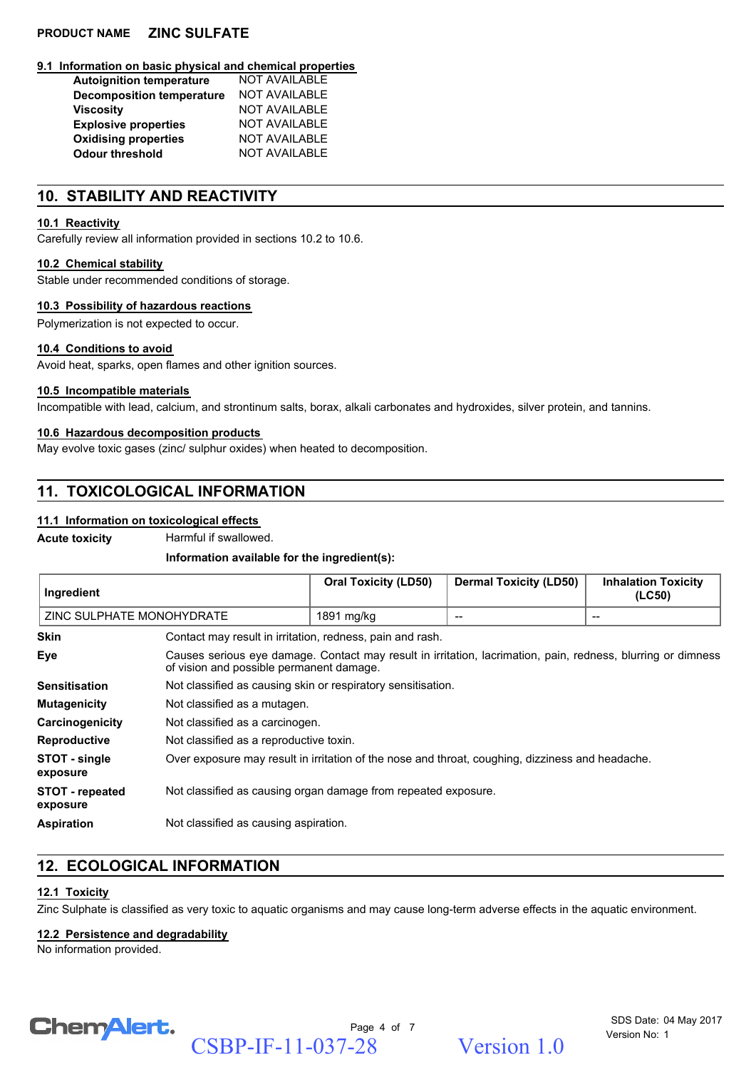#### **9.1 Information on basic physical and chemical properties**

| <b>NOT AVAILABLE</b> |
|----------------------|
| <b>NOT AVAILABLE</b> |
| <b>NOT AVAILABLE</b> |
| <b>NOT AVAILABLE</b> |
| <b>NOT AVAILABLE</b> |
| <b>NOT AVAILABLE</b> |
|                      |

# **10. STABILITY AND REACTIVITY**

## **10.1 Reactivity**

Carefully review all information provided in sections 10.2 to 10.6.

# **10.2 Chemical stability**

Stable under recommended conditions of storage.

# **10.3 Possibility of hazardous reactions**

Polymerization is not expected to occur.

# **10.4 Conditions to avoid**

Avoid heat, sparks, open flames and other ignition sources.

## **10.5 Incompatible materials**

Incompatible with lead, calcium, and strontinum salts, borax, alkali carbonates and hydroxides, silver protein, and tannins.

# **10.6 Hazardous decomposition products**

May evolve toxic gases (zinc/ sulphur oxides) when heated to decomposition.

# **11. TOXICOLOGICAL INFORMATION**

# **11.1 Information on toxicological effects**

**Acute toxicity** Harmful if swallowed.

# **Information available for the ingredient(s):**

| Ingredient                         |                                                                                                                                                          | <b>Oral Toxicity (LD50)</b> | <b>Dermal Toxicity (LD50)</b> | <b>Inhalation Toxicity</b><br>(LC50)  |
|------------------------------------|----------------------------------------------------------------------------------------------------------------------------------------------------------|-----------------------------|-------------------------------|---------------------------------------|
| ZINC SULPHATE MONOHYDRATE          |                                                                                                                                                          | 1891 mg/kg                  | --                            | $\hspace{0.05cm}$ – $\hspace{0.05cm}$ |
| <b>Skin</b>                        | Contact may result in irritation, redness, pain and rash.                                                                                                |                             |                               |                                       |
| Eye                                | Causes serious eye damage. Contact may result in irritation, lacrimation, pain, redness, blurring or dimness<br>of vision and possible permanent damage. |                             |                               |                                       |
| Sensitisation                      | Not classified as causing skin or respiratory sensitisation.                                                                                             |                             |                               |                                       |
| <b>Mutagenicity</b>                | Not classified as a mutagen.                                                                                                                             |                             |                               |                                       |
| Carcinogenicity                    | Not classified as a carcinogen.                                                                                                                          |                             |                               |                                       |
| Reproductive                       | Not classified as a reproductive toxin.                                                                                                                  |                             |                               |                                       |
| STOT - single<br>exposure          | Over exposure may result in irritation of the nose and throat, coughing, dizziness and headache.                                                         |                             |                               |                                       |
| <b>STOT - repeated</b><br>exposure | Not classified as causing organ damage from repeated exposure.                                                                                           |                             |                               |                                       |
| Aspiration                         | Not classified as causing aspiration.                                                                                                                    |                             |                               |                                       |

# **12. ECOLOGICAL INFORMATION**

# **12.1 Toxicity**

Zinc Sulphate is classified as very toxic to aquatic organisms and may cause long-term adverse effects in the aquatic environment.

# **12.2 Persistence and degradability**

No information provided.



Page 4 of 7 CSBP-IF-11-037-28 Version 1.0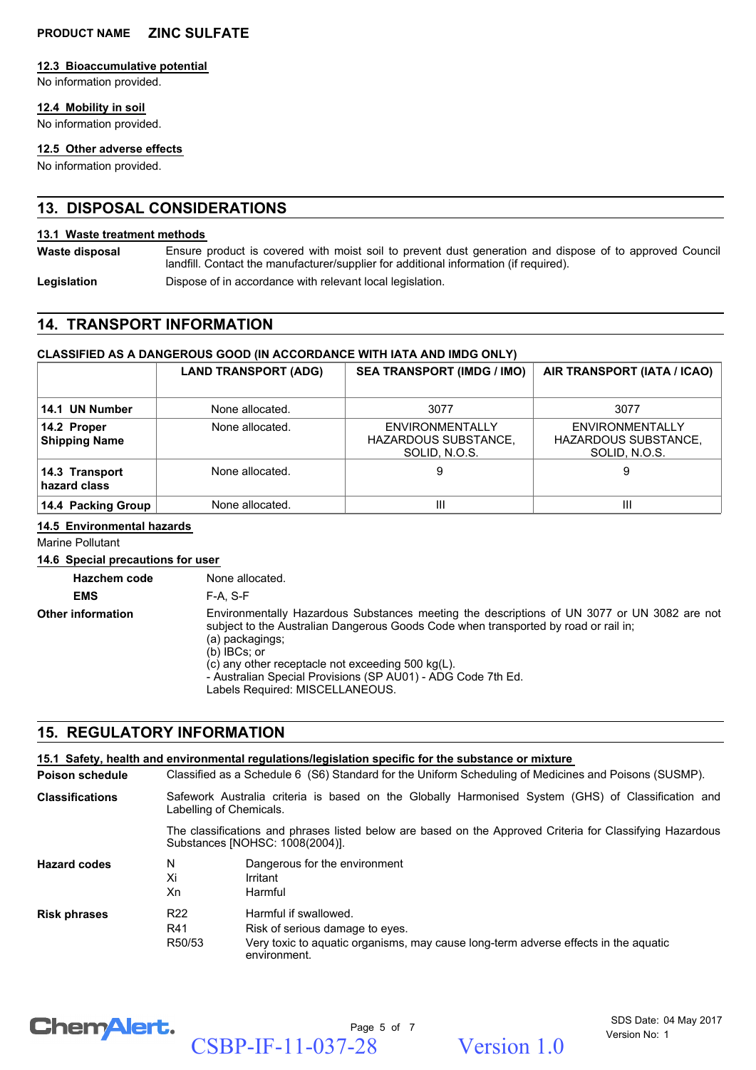#### **12.3 Bioaccumulative potential**

No information provided.

#### **12.4 Mobility in soil**

No information provided.

#### **12.5 Other adverse effects**

No information provided.

# **13. DISPOSAL CONSIDERATIONS**

#### **13.1 Waste treatment methods**

Ensure product is covered with moist soil to prevent dust generation and dispose of to approved Council landfill. Contact the manufacturer/supplier for additional information (if required). **Waste disposal**

Legislation **Dispose of in accordance with relevant local legislation.** 

# **14. TRANSPORT INFORMATION**

#### **CLASSIFIED AS A DANGEROUS GOOD (IN ACCORDANCE WITH IATA AND IMDG ONLY)**

|                                     | <b>LAND TRANSPORT (ADG)</b> | <b>SEA TRANSPORT (IMDG / IMO)</b>                                      | AIR TRANSPORT (IATA / ICAO)                                            |
|-------------------------------------|-----------------------------|------------------------------------------------------------------------|------------------------------------------------------------------------|
| 14.1 UN Number                      | None allocated.             | 3077                                                                   | 3077                                                                   |
| 14.2 Proper<br><b>Shipping Name</b> | None allocated.             | <b>ENVIRONMENTALLY</b><br><b>HAZARDOUS SUBSTANCE,</b><br>SOLID, N.O.S. | <b>ENVIRONMENTALLY</b><br><b>HAZARDOUS SUBSTANCE,</b><br>SOLID, N.O.S. |
| 14.3 Transport<br>hazard class      | None allocated.             | 9                                                                      | 9                                                                      |
| 14.4 Packing Group                  | None allocated.             | Ш                                                                      | Ш                                                                      |

#### **14.5 Environmental hazards**

Marine Pollutant

#### **14.6 Special precautions for user**

**Hazchem code** None allocated. **EMS** F-A, S-F Environmentally Hazardous Substances meeting the descriptions of UN 3077 or UN 3082 are not subject to the Australian Dangerous Goods Code when transported by road or rail in; (a) packagings; (b) IBCs; or (c) any other receptacle not exceeding 500 kg(L). - Australian Special Provisions (SP AU01) - ADG Code 7th Ed. Labels Required: MISCELLANEOUS. **Other information**

# **15. REGULATORY INFORMATION**

|                        |                                  | 15.1 Safety, health and environmental requiations/legislation specific for the substance or mixture                                                             |  |  |
|------------------------|----------------------------------|-----------------------------------------------------------------------------------------------------------------------------------------------------------------|--|--|
| <b>Poison schedule</b> |                                  | Classified as a Schedule 6 (S6) Standard for the Uniform Scheduling of Medicines and Poisons (SUSMP).                                                           |  |  |
| <b>Classifications</b> |                                  | Safework Australia criteria is based on the Globally Harmonised System (GHS) of Classification and<br>Labelling of Chemicals.                                   |  |  |
|                        |                                  | The classifications and phrases listed below are based on the Approved Criteria for Classifying Hazardous<br>Substances [NOHSC: 1008(2004)].                    |  |  |
| <b>Hazard codes</b>    | N<br>Xi<br>Xn                    | Dangerous for the environment<br>Irritant<br>Harmful                                                                                                            |  |  |
| <b>Risk phrases</b>    | R <sub>22</sub><br>R41<br>R50/53 | Harmful if swallowed.<br>Risk of serious damage to eyes.<br>Very toxic to aquatic organisms, may cause long-term adverse effects in the aquatic<br>environment. |  |  |



Page 5 of 7 CSBP-IF-11-037-28 Version 1.0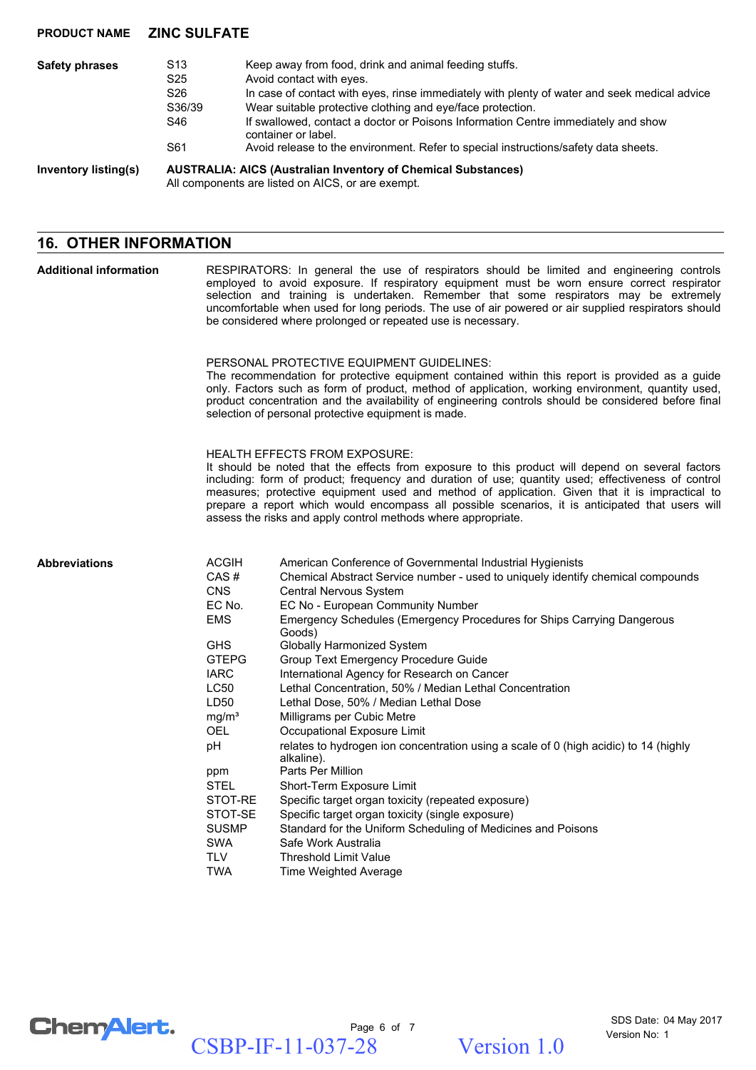| <b>Safety phrases</b> | S <sub>13</sub><br>S <sub>25</sub><br>S <sub>26</sub><br>S36/39<br>S46<br>S61                                             | Keep away from food, drink and animal feeding stuffs.<br>Avoid contact with eyes.<br>In case of contact with eyes, rinse immediately with plenty of water and seek medical advice<br>Wear suitable protective clothing and eye/face protection.<br>If swallowed, contact a doctor or Poisons Information Centre immediately and show<br>container or label.<br>Avoid release to the environment. Refer to special instructions/safety data sheets. |
|-----------------------|---------------------------------------------------------------------------------------------------------------------------|----------------------------------------------------------------------------------------------------------------------------------------------------------------------------------------------------------------------------------------------------------------------------------------------------------------------------------------------------------------------------------------------------------------------------------------------------|
| Inventory listing(s)  | <b>AUSTRALIA: AICS (Australian Inventory of Chemical Substances)</b><br>All components are listed on AICS, or are exempt. |                                                                                                                                                                                                                                                                                                                                                                                                                                                    |

# **16. OTHER INFORMATION**

| <b>Additional information</b> | RESPIRATORS: In general the use of respirators should be limited and engineering controls<br>employed to avoid exposure. If respiratory equipment must be worn ensure correct respirator<br>selection and training is undertaken. Remember that some respirators may be extremely<br>uncomfortable when used for long periods. The use of air powered or air supplied respirators should<br>be considered where prolonged or repeated use is necessary.                                                               |                                                                                                                                                                                                                                                                                                                                                                                                                                                                                                                                                                                                                                                                                                                                                                                                                                                                                                                                                                                |  |  |
|-------------------------------|-----------------------------------------------------------------------------------------------------------------------------------------------------------------------------------------------------------------------------------------------------------------------------------------------------------------------------------------------------------------------------------------------------------------------------------------------------------------------------------------------------------------------|--------------------------------------------------------------------------------------------------------------------------------------------------------------------------------------------------------------------------------------------------------------------------------------------------------------------------------------------------------------------------------------------------------------------------------------------------------------------------------------------------------------------------------------------------------------------------------------------------------------------------------------------------------------------------------------------------------------------------------------------------------------------------------------------------------------------------------------------------------------------------------------------------------------------------------------------------------------------------------|--|--|
|                               | PERSONAL PROTECTIVE EQUIPMENT GUIDELINES:<br>The recommendation for protective equipment contained within this report is provided as a guide<br>only. Factors such as form of product, method of application, working environment, quantity used,<br>product concentration and the availability of engineering controls should be considered before final<br>selection of personal protective equipment is made.                                                                                                      |                                                                                                                                                                                                                                                                                                                                                                                                                                                                                                                                                                                                                                                                                                                                                                                                                                                                                                                                                                                |  |  |
|                               | <b>HEALTH EFFECTS FROM EXPOSURE:</b><br>It should be noted that the effects from exposure to this product will depend on several factors<br>including: form of product; frequency and duration of use; quantity used; effectiveness of control<br>measures; protective equipment used and method of application. Given that it is impractical to<br>prepare a report which would encompass all possible scenarios, it is anticipated that users will<br>assess the risks and apply control methods where appropriate. |                                                                                                                                                                                                                                                                                                                                                                                                                                                                                                                                                                                                                                                                                                                                                                                                                                                                                                                                                                                |  |  |
| <b>Abbreviations</b>          | <b>ACGIH</b><br>CAS#<br><b>CNS</b><br>EC No.<br><b>EMS</b><br><b>GHS</b><br><b>GTEPG</b><br><b>IARC</b><br>LC50<br>LD50<br>mg/m <sup>3</sup><br><b>OEL</b><br>рH<br>ppm<br>STEL<br>STOT-RE<br>STOT-SE<br><b>SUSMP</b><br>SWA<br>TLV                                                                                                                                                                                                                                                                                   | American Conference of Governmental Industrial Hygienists<br>Chemical Abstract Service number - used to uniquely identify chemical compounds<br>Central Nervous System<br>EC No - European Community Number<br>Emergency Schedules (Emergency Procedures for Ships Carrying Dangerous<br>Goods)<br>Globally Harmonized System<br>Group Text Emergency Procedure Guide<br>International Agency for Research on Cancer<br>Lethal Concentration, 50% / Median Lethal Concentration<br>Lethal Dose, 50% / Median Lethal Dose<br>Milligrams per Cubic Metre<br>Occupational Exposure Limit<br>relates to hydrogen ion concentration using a scale of 0 (high acidic) to 14 (highly<br>alkaline).<br>Parts Per Million<br>Short-Term Exposure Limit<br>Specific target organ toxicity (repeated exposure)<br>Specific target organ toxicity (single exposure)<br>Standard for the Uniform Scheduling of Medicines and Poisons<br>Safe Work Australia<br><b>Threshold Limit Value</b> |  |  |

TWA Time Weighted Average